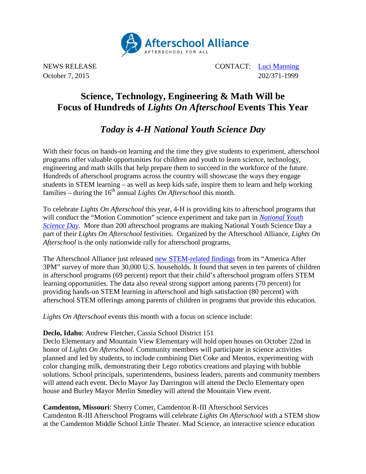

NEWS RELEASE CONTACT: [Luci Manning](mailto:luci@prsolutionsdc.com) October 7, 2015 202/371-1999

# **Science, Technology, Engineering & Math Will be Focus of Hundreds of** *Lights On Afterschool* **Events This Year**

## *Today is 4-H National Youth Science Day*

With their focus on hands-on learning and the time they give students to experiment, afterschool programs offer valuable opportunities for children and youth to learn science, technology, engineering and math skills that help prepare them to succeed in the workforce of the future. Hundreds of afterschool programs across the country will showcase the ways they engage students in STEM learning – as well as keep kids safe, inspire them to learn and help working families – during the 16<sup>th</sup> annual *Lights On Afterschool* this month.

To celebrate *Lights On Afterschool* this year, 4-H is providing kits to afterschool programs that will conduct the "Motion Commotion" science experiment and take part in *[National Youth](http://www.4-h.org/4-h-national-youth-science-day/)  [Science Day](http://www.4-h.org/4-h-national-youth-science-day/)*. More than 200 afterschool programs are making National Youth Science Day a part of their *Lights On Afterschool* festivities. Organized by the Afterschool Alliance, *Lights On Afterschool* is the only nationwide rally for afterschool programs.

The Afterschool Alliance just released [new STEM-related findings](http://www.afterschoolalliance.org/AA3PM/STEM.pdf) from its "America After 3PM" survey of more than 30,000 U.S. households. It found that seven in ten parents of children in afterschool programs (69 percent) report that their child's afterschool program offers STEM learning opportunities. The data also reveal strong support among parents (70 percent) for providing hands-on STEM learning in afterschool and high satisfaction (80 percent) with afterschool STEM offerings among parents of children in programs that provide this education.

*Lights On Afterschool* events this month with a focus on science include:

### **Declo, Idaho**: Andrew Fletcher, Cassia School District 151

Declo Elementary and Mountain View Elementary will hold open houses on October 22nd in honor of *Lights On Afterschool*. Community members will participate in science activities planned and led by students, to include combining Diet Coke and Mentos, experimenting with color changing milk, demonstrating their Lego robotics creations and playing with bubble solutions. School principals, superintendents, business leaders, parents and community members will attend each event. Declo Mayor Jay Darrington will attend the Declo Elementary open house and Burley Mayor Merlin Smedley will attend the Mountain View event.

**Camdenton, Missouri**: Sherry Comer, Camdenton R-III Afterschool Services Camdenton R-III Afterschool Programs will celebrate *Lights On Afterschool* with a STEM show at the Camdenton Middle School Little Theater. Mad Science, an interactive science education